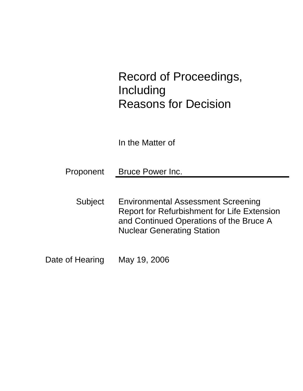# Record of Proceedings, Including Reasons for Decision

In the Matter of

Proponent Bruce Power Inc.

- Subject Environmental Assessment Screening Report for Refurbishment for Life Extension and Continued Operations of the Bruce A Nuclear Generating Station
- Date of Hearing May 19, 2006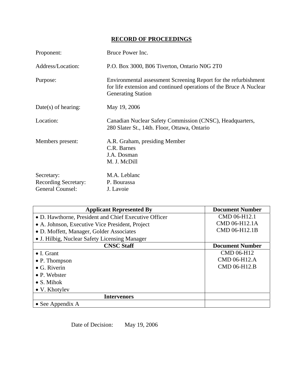# **RECORD OF PROCEEDINGS**

| Proponent:                                                           | Bruce Power Inc.                                                                                                                                                   |
|----------------------------------------------------------------------|--------------------------------------------------------------------------------------------------------------------------------------------------------------------|
| Address/Location:                                                    | P.O. Box 3000, B06 Tiverton, Ontario N0G 2T0                                                                                                                       |
| Purpose:                                                             | Environmental assessment Screening Report for the refurbishment<br>for life extension and continued operations of the Bruce A Nuclear<br><b>Generating Station</b> |
| $Date(s)$ of hearing:                                                | May 19, 2006                                                                                                                                                       |
| Location:                                                            | Canadian Nuclear Safety Commission (CNSC), Headquarters,<br>280 Slater St., 14th. Floor, Ottawa, Ontario                                                           |
| Members present:                                                     | A.R. Graham, presiding Member<br>C.R. Barnes<br>J.A. Dosman<br>M. J. McDill                                                                                        |
| Secretary:<br><b>Recording Secretary:</b><br><b>General Counsel:</b> | M.A. Leblanc<br>P. Bourassa<br>J. Lavoie                                                                                                                           |

| <b>Applicant Represented By</b>                       | <b>Document Number</b> |
|-------------------------------------------------------|------------------------|
| • D. Hawthorne, President and Chief Executive Officer | CMD 06-H12.1           |
| • A. Johnson, Executive Vice President, Project       | CMD 06-H12.1A          |
| • D. Moffett, Manager, Golder Associates              | CMD 06-H12.1B          |
| • J. Hilbig, Nuclear Safety Licensing Manager         |                        |
| <b>CNSC Staff</b>                                     | <b>Document Number</b> |
| $\bullet$ I. Grant                                    | CMD 06-H12             |
| $\bullet$ P. Thompson                                 | CMD 06-H12.A           |
| $\bullet$ G. Riverin                                  | CMD 06-H12.B           |
| $\bullet$ P. Webster                                  |                        |
| $\bullet$ S. Mihok                                    |                        |
| • V. Khotylev                                         |                        |
| <b>Intervenors</b>                                    |                        |
| • See Appendix $A$                                    |                        |

Date of Decision: May 19, 2006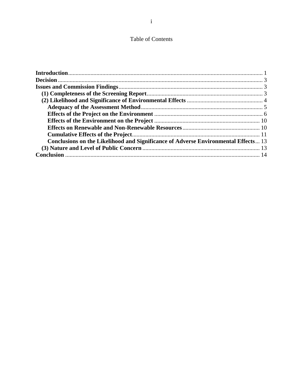### Table of Contents

| Conclusions on the Likelihood and Significance of Adverse Environmental Effects 13 |  |
|------------------------------------------------------------------------------------|--|
|                                                                                    |  |
|                                                                                    |  |
|                                                                                    |  |
|                                                                                    |  |
|                                                                                    |  |
|                                                                                    |  |
|                                                                                    |  |
|                                                                                    |  |
|                                                                                    |  |
|                                                                                    |  |
|                                                                                    |  |
|                                                                                    |  |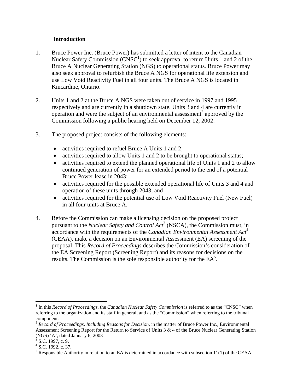#### **Introduction**

- 1. Bruce Power Inc. (Bruce Power) has submitted a letter of intent to the Canadian Nuclear Safety Commission ( $CNSC<sup>1</sup>$ ) to seek approval to return Units 1 and 2 of the Bruce A Nuclear Generating Station (NGS) to operational status. Bruce Power may also seek approval to refurbish the Bruce A NGS for operational life extension and use Low Void Reactivity Fuel in all four units. The Bruce A NGS is located in Kincardine, Ontario.
- 2. Units 1 and 2 at the Bruce A NGS were taken out of service in 1997 and 1995 respectively and are currently in a shutdown state. Units 3 and 4 are currently in operation and were the subject of an environmental assessment<sup>2</sup> approved by the Commission following a public hearing held on December 12, 2002.
- 3. The proposed project consists of the following elements:
	- activities required to refuel Bruce A Units 1 and 2;
	- activities required to allow Units 1 and 2 to be brought to operational status;
	- activities required to extend the planned operational life of Units 1 and 2 to allow continued generation of power for an extended period to the end of a potential Bruce Power lease in 2043;
	- activities required for the possible extended operational life of Units 3 and 4 and operation of these units through 2043; and
	- activities required for the potential use of Low Void Reactivity Fuel (New Fuel) in all four units at Bruce A.
- 4. Before the Commission can make a licensing decision on the proposed project pursuant to the *Nuclear Safety and Control Act*<sup>3</sup> (NSCA), the Commission must, in accordance with the requirements of the *Canadian Environmental Assessment Act*<sup>4</sup> (CEAA), make a decision on an Environmental Assessment (EA) screening of the proposal. This *Record of Proceedings* describes the Commission's consideration of the EA Screening Report (Screening Report) and its reasons for decisions on the results. The Commission is the sole responsible authority for the  $EA<sup>5</sup>$ .

 $\overline{a}$ <sup>1</sup> In this *Record of Proceedings, the Canadian Nuclear Safety Commission* is referred to as the "CNSC" when referring to the organization and its staff in general, and as the "Commission" when referring to the tribunal component.

<sup>2</sup> *Record of Proceedings, Including Reasons for Decision*, in the matter of Bruce Power Inc., Environmental Assessment Screening Report for the Return to Service of Units 3 & 4 of the Bruce Nuclear Generating Station (NGS) 'A', dated January 6, 2003

 $3^{3}$  S.C. 1997, c. 9.

<sup>&</sup>lt;sup>4</sup> S.C. 1992, c. 37.

<sup>&</sup>lt;sup>5</sup> Responsible Authority in relation to an EA is determined in accordance with subsection  $11(1)$  of the CEAA.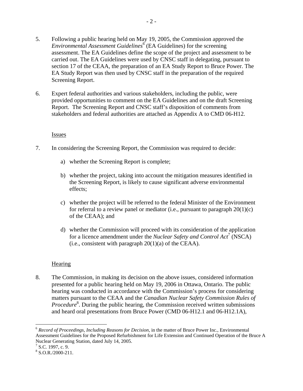- 5. Following a public hearing held on May 19, 2005, the Commission approved the *Environmental Assessment Guidelines*<sup>6</sup> (EA Guidelines) for the screening assessment. The EA Guidelines define the scope of the project and assessment to be carried out. The EA Guidelines were used by CNSC staff in delegating, pursuant to section 17 of the CEAA, the preparation of an EA Study Report to Bruce Power. The EA Study Report was then used by CNSC staff in the preparation of the required Screening Report.
- 6. Expert federal authorities and various stakeholders, including the public, were provided opportunities to comment on the EA Guidelines and on the draft Screening Report. The Screening Report and CNSC staff's disposition of comments from stakeholders and federal authorities are attached as Appendix A to CMD 06-H12.

#### Issues

- 7. In considering the Screening Report, the Commission was required to decide:
	- a) whether the Screening Report is complete;
	- b) whether the project, taking into account the mitigation measures identified in the Screening Report, is likely to cause significant adverse environmental effects;
	- c) whether the project will be referred to the federal Minister of the Environment for referral to a review panel or mediator (i.e., pursuant to paragraph  $20(1)(c)$ ) of the CEAA); and
	- d) whether the Commission will proceed with its consideration of the application for a licence amendment under the *Nuclear Safety and Control Act*<sup>7</sup> (NSCA) (i.e., consistent with paragraph  $20(1)(a)$  of the CEAA).

#### **Hearing**

8. The Commission, in making its decision on the above issues, considered information presented for a public hearing held on May 19, 2006 in Ottawa, Ontario. The public hearing was conducted in accordance with the Commission's process for considering matters pursuant to the CEAA and the *Canadian Nuclear Safety Commission Rules of Procedure*<sup>8</sup>. During the public hearing, the Commission received written submissions and heard oral presentations from Bruce Power (CMD 06-H12.1 and 06-H12.1A),

 $\overline{a}$ 

<sup>6</sup> *Record of Proceedings, Including Reasons for Decision*, in the matter of Bruce Power Inc., Environmental Assessment Guidelines for the Proposed Refurbishment for Life Extension and Continued Operation of the Bruce A Nuclear Generating Station, dated July 14, 2005.

 $<sup>7</sup>$  S.C. 1997, c. 9.</sup>

 $8$  S.O.R./2000-211.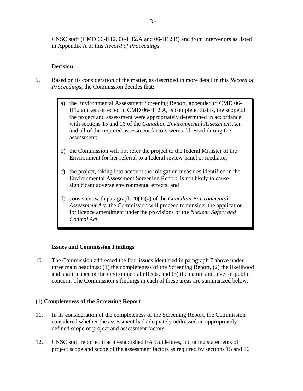CNSC staff (CMD 06-H12, 06-H12.A and 06-H12.B) and from intervenors as listed in Appendix A of this *Record of Proceedings*.

#### **Decision**

- 9. Based on its consideration of the matter, as described in more detail in this *Record of Proceedings,* the Commission decides that:
	- a) the Environmental Assessment Screening Report, appended to CMD 06- H12 and as corrected in CMD 06-H12.A, is complete; that is, the scope of the project and assessment were appropriately determined in accordance with sections 15 and 16 of the *Canadian Environmental Assessment Act*, and all of the required assessment factors were addressed during the assessment;
	- b) the Commission will not refer the project to the federal Minister of the Environment for her referral to a federal review panel or mediator;
	- c) the project, taking into account the mitigation measures identified in the Environmental Assessment Screening Report, is not likely to cause significant adverse environmental effects; and
	- d) consistent with paragraph 20(1)(a) of the *Canadian Environmental Assessment Act*, the Commission will proceed to consider the application for licence amendment under the provisions of the *Nuclear Safety and Control Act*.

#### **Issues and Commission Findings**

10. The Commission addressed the four issues identified in paragraph 7 above under three main headings: (1) the completeness of the Screening Report, (2) the likelihood and significance of the environmental effects, and (3) the nature and level of public concern. The Commission's findings in each of these areas are summarized below.

#### **(1) Completeness of the Screening Report**

- 11. In its consideration of the completeness of the Screening Report, the Commission considered whether the assessment had adequately addressed an appropriately defined scope of project and assessment factors.
- 12. CNSC staff reported that it established EA Guidelines, including statements of project scope and scope of the assessment factors as required by sections 15 and 16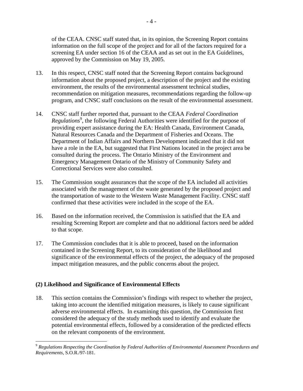of the CEAA. CNSC staff stated that, in its opinion, the Screening Report contains information on the full scope of the project and for all of the factors required for a screening EA under section 16 of the CEAA and as set out in the EA Guidelines, approved by the Commission on May 19, 2005.

- 13. In this respect, CNSC staff noted that the Screening Report contains background information about the proposed project, a description of the project and the existing environment, the results of the environmental assessment technical studies, recommendation on mitigation measures, recommendations regarding the follow-up program, and CNSC staff conclusions on the result of the environmental assessment.
- 14. CNSC staff further reported that, pursuant to the CEAA *Federal Coordination*  Regulations<sup>9</sup>, the following Federal Authorities were identified for the purpose of providing expert assistance during the EA: Health Canada, Environment Canada, Natural Resources Canada and the Department of Fisheries and Oceans. The Department of Indian Affairs and Northern Development indicated that it did not have a role in the EA, but suggested that First Nations located in the project area be consulted during the process. The Ontario Ministry of the Environment and Emergency Management Ontario of the Ministry of Community Safety and Correctional Services were also consulted.
- 15. The Commission sought assurances that the scope of the EA included all activities associated with the management of the waste generated by the proposed project and the transportation of waste to the Western Waste Management Facility. CNSC staff confirmed that these activities were included in the scope of the EA.
- 16. Based on the information received, the Commission is satisfied that the EA and resulting Screening Report are complete and that no additional factors need be added to that scope.
- 17. The Commission concludes that it is able to proceed, based on the information contained in the Screening Report, to its consideration of the likelihood and significance of the environmental effects of the project, the adequacy of the proposed impact mitigation measures, and the public concerns about the project.

#### **(2) Likelihood and Significance of Environmental Effects**

 $\overline{a}$ 

18. This section contains the Commission's findings with respect to whether the project, taking into account the identified mitigation measures, is likely to cause significant adverse environmental effects. In examining this question, the Commission first considered the adequacy of the study methods used to identify and evaluate the potential environmental effects, followed by a consideration of the predicted effects on the relevant components of the environment.

<sup>9</sup> *Regulations Respecting the Coordination by Federal Authorities of Environmental Assessment Procedures and Requirements*, S.O.R./97-181.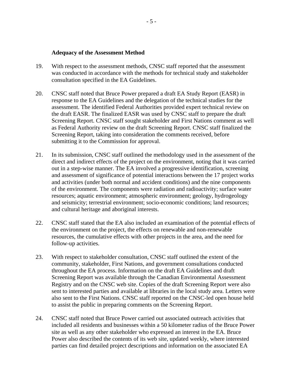#### **Adequacy of the Assessment Method**

- 19. With respect to the assessment methods, CNSC staff reported that the assessment was conducted in accordance with the methods for technical study and stakeholder consultation specified in the EA Guidelines.
- 20. CNSC staff noted that Bruce Power prepared a draft EA Study Report (EASR) in response to the EA Guidelines and the delegation of the technical studies for the assessment. The identified Federal Authorities provided expert technical review on the draft EASR. The finalized EASR was used by CNSC staff to prepare the draft Screening Report. CNSC staff sought stakeholder and First Nations comment as well as Federal Authority review on the draft Screening Report. CNSC staff finalized the Screening Report, taking into consideration the comments received, before submitting it to the Commission for approval.
- 21. In its submission, CNSC staff outlined the methodology used in the assessment of the direct and indirect effects of the project on the environment, noting that it was carried out in a step-wise manner. The EA involved a progressive identification, screening and assessment of significance of potential interactions between the 17 project works and activities (under both normal and accident conditions) and the nine components of the environment. The components were radiation and radioactivity; surface water resources; aquatic environment; atmospheric environment; geology, hydrogeology and seismicity; terrestrial environment; socio-economic conditions; land resources; and cultural heritage and aboriginal interests.
- 22. CNSC staff stated that the EA also included an examination of the potential effects of the environment on the project, the effects on renewable and non-renewable resources, the cumulative effects with other projects in the area, and the need for follow-up activities.
- 23. With respect to stakeholder consultation, CNSC staff outlined the extent of the community, stakeholder, First Nations, and government consultations conducted throughout the EA process. Information on the draft EA Guidelines and draft Screening Report was available through the Canadian Environmental Assessment Registry and on the CNSC web site. Copies of the draft Screening Report were also sent to interested parties and available at libraries in the local study area. Letters were also sent to the First Nations. CNSC staff reported on the CNSC-led open house held to assist the public in preparing comments on the Screening Report.
- 24. CNSC staff noted that Bruce Power carried out associated outreach activities that included all residents and businesses within a 50 kilometer radius of the Bruce Power site as well as any other stakeholder who expressed an interest in the EA. Bruce Power also described the contents of its web site, updated weekly, where interested parties can find detailed project descriptions and information on the associated EA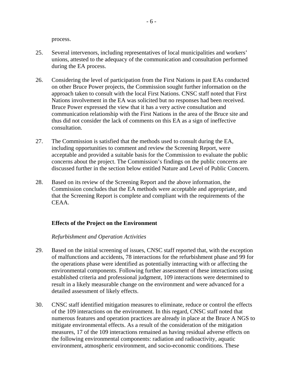process.

- 25. Several intervenors, including representatives of local municipalities and workers' unions, attested to the adequacy of the communication and consultation performed during the EA process.
- 26. Considering the level of participation from the First Nations in past EAs conducted on other Bruce Power projects, the Commission sought further information on the approach taken to consult with the local First Nations. CNSC staff noted that First Nations involvement in the EA was solicited but no responses had been received. Bruce Power expressed the view that it has a very active consultation and communication relationship with the First Nations in the area of the Bruce site and thus did not consider the lack of comments on this EA as a sign of ineffective consultation.
- 27. The Commission is satisfied that the methods used to consult during the EA, including opportunities to comment and review the Screening Report, were acceptable and provided a suitable basis for the Commission to evaluate the public concerns about the project. The Commission's findings on the public concerns are discussed further in the section below entitled Nature and Level of Public Concern.
- 28. Based on its review of the Screening Report and the above information, the Commission concludes that the EA methods were acceptable and appropriate, and that the Screening Report is complete and compliant with the requirements of the CEAA.

#### **Effects of the Project on the Environment**

#### *Refurbishment and Operation Activities*

- 29. Based on the initial screening of issues, CNSC staff reported that, with the exception of malfunctions and accidents, 78 interactions for the refurbishment phase and 99 for the operations phase were identified as potentially interacting with or affecting the environmental components. Following further assessment of these interactions using established criteria and professional judgment, 109 interactions were determined to result in a likely measurable change on the environment and were advanced for a detailed assessment of likely effects.
- 30. CNSC staff identified mitigation measures to eliminate, reduce or control the effects of the 109 interactions on the environment. In this regard, CNSC staff noted that numerous features and operation practices are already in place at the Bruce A NGS to mitigate environmental effects. As a result of the consideration of the mitigation measures, 17 of the 109 interactions remained as having residual adverse effects on the following environmental components: radiation and radioactivity, aquatic environment, atmospheric environment, and socio-economic conditions. These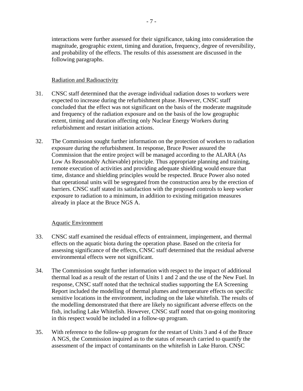interactions were further assessed for their significance, taking into consideration the magnitude, geographic extent, timing and duration, frequency, degree of reversibility, and probability of the effects. The results of this assessment are discussed in the following paragraphs.

#### Radiation and Radioactivity

- 31. CNSC staff determined that the average individual radiation doses to workers were expected to increase during the refurbishment phase. However, CNSC staff concluded that the effect was not significant on the basis of the moderate magnitude and frequency of the radiation exposure and on the basis of the low geographic extent, timing and duration affecting only Nuclear Energy Workers during refurbishment and restart initiation actions.
- 32. The Commission sought further information on the protection of workers to radiation exposure during the refurbishment. In response, Bruce Power assured the Commission that the entire project will be managed according to the ALARA (As Low As Reasonably Achievable) principle. Thus appropriate planning and training, remote execution of activities and providing adequate shielding would ensure that time, distance and shielding principles would be respected. Bruce Power also noted that operational units will be segregated from the construction area by the erection of barriers. CNSC staff stated its satisfaction with the proposed controls to keep worker exposure to radiation to a minimum, in addition to existing mitigation measures already in place at the Bruce NGS A.

#### Aquatic Environment

- 33. CNSC staff examined the residual effects of entrainment, impingement, and thermal effects on the aquatic biota during the operation phase. Based on the criteria for assessing significance of the effects, CNSC staff determined that the residual adverse environmental effects were not significant.
- 34. The Commission sought further information with respect to the impact of additional thermal load as a result of the restart of Units 1 and 2 and the use of the New Fuel. In response, CNSC staff noted that the technical studies supporting the EA Screening Report included the modelling of thermal plumes and temperature effects on specific sensitive locations in the environment, including on the lake whitefish. The results of the modelling demonstrated that there are likely no significant adverse effects on the fish, including Lake Whitefish. However, CNSC staff noted that on-going monitoring in this respect would be included in a follow-up program.
- 35. With reference to the follow-up program for the restart of Units 3 and 4 of the Bruce A NGS, the Commission inquired as to the status of research carried to quantify the assessment of the impact of contaminants on the whitefish in Lake Huron. CNSC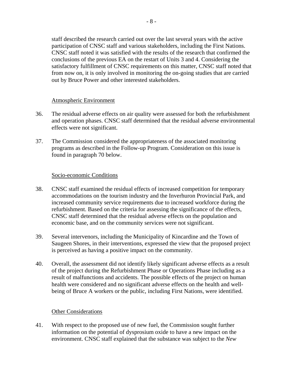staff described the research carried out over the last several years with the active participation of CNSC staff and various stakeholders, including the First Nations. CNSC staff noted it was satisfied with the results of the research that confirmed the conclusions of the previous EA on the restart of Units 3 and 4. Considering the satisfactory fulfillment of CNSC requirements on this matter, CNSC staff noted that from now on, it is only involved in monitoring the on-going studies that are carried out by Bruce Power and other interested stakeholders.

#### Atmospheric Environment

- 36. The residual adverse effects on air quality were assessed for both the refurbishment and operation phases. CNSC staff determined that the residual adverse environmental effects were not significant.
- 37. The Commission considered the appropriateness of the associated monitoring programs as described in the Follow-up Program. Consideration on this issue is found in paragraph 70 below.

#### Socio-economic Conditions

- 38. CNSC staff examined the residual effects of increased competition for temporary accommodations on the tourism industry and the Inverhuron Provincial Park, and increased community service requirements due to increased workforce during the refurbishment. Based on the criteria for assessing the significance of the effects, CNSC staff determined that the residual adverse effects on the population and economic base, and on the community services were not significant.
- 39. Several intervenors, including the Municipality of Kincardine and the Town of Saugeen Shores, in their interventions, expressed the view that the proposed project is perceived as having a positive impact on the community.
- 40. Overall, the assessment did not identify likely significant adverse effects as a result of the project during the Refurbishment Phase or Operations Phase including as a result of malfunctions and accidents. The possible effects of the project on human health were considered and no significant adverse effects on the health and wellbeing of Bruce A workers or the public, including First Nations, were identified.

#### Other Considerations

41. With respect to the proposed use of new fuel, the Commission sought further information on the potential of dysprosium oxide to have a new impact on the environment. CNSC staff explained that the substance was subject to the *New*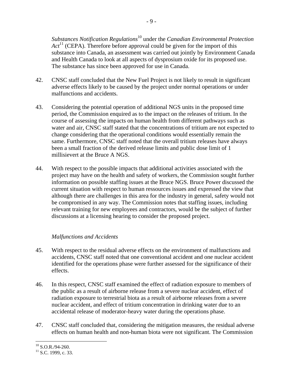*Substances Notification Regulations*<sup>10</sup> under the *Canadian Environmental Protection*   $Act<sup>11</sup>$  (CEPA). Therefore before approval could be given for the import of this substance into Canada, an assessment was carried out jointly by Environment Canada and Health Canada to look at all aspects of dysprosium oxide for its proposed use. The substance has since been approved for use in Canada.

- 42. CNSC staff concluded that the New Fuel Project is not likely to result in significant adverse effects likely to be caused by the project under normal operations or under malfunctions and accidents.
- 43. Considering the potential operation of additional NGS units in the proposed time period, the Commission enquired as to the impact on the releases of tritium. In the course of assessing the impacts on human health from different pathways such as water and air, CNSC staff stated that the concentrations of tritium are not expected to change considering that the operational conditions would essentially remain the same. Furthermore, CNSC staff noted that the overall tritium releases have always been a small fraction of the derived release limits and public dose limit of 1 millisievert at the Bruce A NGS.
- 44. With respect to the possible impacts that additional activities associated with the project may have on the health and safety of workers, the Commission sought further information on possible staffing issues at the Bruce NGS. Bruce Power discussed the current situation with respect to human ressources issues and expressed the view that although there are challenges in this area for the industry in general, safety would not be compromised in any way. The Commission notes that staffing issues, including relevant training for new employees and contractors, would be the subject of further discussions at a licensing hearing to consider the proposed project.

#### *Malfunctions and Accidents*

- 45. With respect to the residual adverse effects on the environment of malfunctions and accidents, CNSC staff noted that one conventional accident and one nuclear accident identified for the operations phase were further assessed for the significance of their effects.
- 46. In this respect, CNSC staff examined the effect of radiation exposure to members of the public as a result of airborne release from a severe nuclear accident, effect of radiation exposure to terrestrial biota as a result of airborne releases from a severe nuclear accident, and effect of tritium concentration in drinking water due to an accidental release of moderator-heavy water during the operations phase.
- 47. CNSC staff concluded that, considering the mitigation measures, the residual adverse effects on human health and non-human biota were not significant. The Commission

 $\overline{a}$ 

 $^{10}$  S.O.R./94-260.

 $11$  S.C. 1999, c. 33.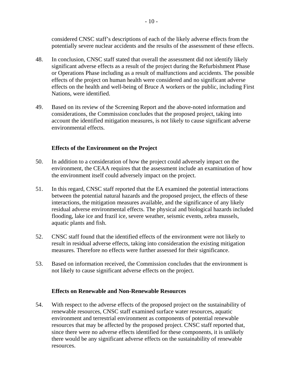considered CNSC staff's descriptions of each of the likely adverse effects from the potentially severe nuclear accidents and the results of the assessment of these effects.

- 48. In conclusion, CNSC staff stated that overall the assessment did not identify likely significant adverse effects as a result of the project during the Refurbishment Phase or Operations Phase including as a result of malfunctions and accidents. The possible effects of the project on human health were considered and no significant adverse effects on the health and well-being of Bruce A workers or the public, including First Nations, were identified.
- 49. Based on its review of the Screening Report and the above-noted information and considerations, the Commission concludes that the proposed project, taking into account the identified mitigation measures, is not likely to cause significant adverse environmental effects.

#### **Effects of the Environment on the Project**

- 50. In addition to a consideration of how the project could adversely impact on the environment, the CEAA requires that the assessment include an examination of how the environment itself could adversely impact on the project.
- 51. In this regard, CNSC staff reported that the EA examined the potential interactions between the potential natural hazards and the proposed project, the effects of these interactions, the mitigation measures available, and the significance of any likely residual adverse environmental effects. The physical and biological hazards included flooding, lake ice and frazil ice, severe weather, seismic events, zebra mussels, aquatic plants and fish.
- 52. CNSC staff found that the identified effects of the environment were not likely to result in residual adverse effects, taking into consideration the existing mitigation measures. Therefore no effects were further assessed for their significance.
- 53. Based on information received, the Commission concludes that the environment is not likely to cause significant adverse effects on the project.

#### **Effects on Renewable and Non-Renewable Resources**

54. With respect to the adverse effects of the proposed project on the sustainability of renewable resources, CNSC staff examined surface water resources, aquatic environment and terrestrial environment as components of potential renewable resources that may be affected by the proposed project. CNSC staff reported that, since there were no adverse effects identified for these components, it is unlikely there would be any significant adverse effects on the sustainability of renewable resources.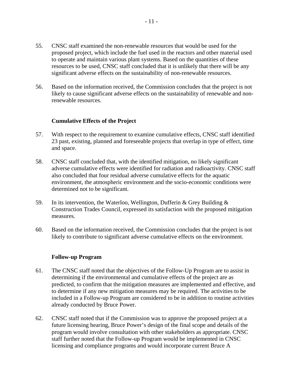- 55. CNSC staff examined the non-renewable resources that would be used for the proposed project, which include the fuel used in the reactors and other material used to operate and maintain various plant systems. Based on the quantities of these resources to be used, CNSC staff concluded that it is unlikely that there will be any significant adverse effects on the sustainability of non-renewable resources.
- 56. Based on the information received, the Commission concludes that the project is not likely to cause significant adverse effects on the sustainability of renewable and nonrenewable resources.

#### **Cumulative Effects of the Project**

- 57. With respect to the requirement to examine cumulative effects, CNSC staff identified 23 past, existing, planned and foreseeable projects that overlap in type of effect, time and space.
- 58. CNSC staff concluded that, with the identified mitigation, no likely significant adverse cumulative effects were identified for radiation and radioactivity. CNSC staff also concluded that four residual adverse cumulative effects for the aquatic environment, the atmospheric environment and the socio-economic conditions were determined not to be significant.
- 59. In its intervention, the Waterloo, Wellington, Dufferin & Grey Building & Construction Trades Council, expressed its satisfaction with the proposed mitigation measures.
- 60. Based on the information received, the Commission concludes that the project is not likely to contribute to significant adverse cumulative effects on the environment.

#### **Follow-up Program**

- 61. The CNSC staff noted that the objectives of the Follow-Up Program are to assist in determining if the environmental and cumulative effects of the project are as predicted, to confirm that the mitigation measures are implemented and effective, and to determine if any new mitigation measures may be required. The activities to be included in a Follow-up Program are considered to be in addition to routine activities already conducted by Bruce Power.
- 62. CNSC staff noted that if the Commission was to approve the proposed project at a future licensing hearing, Bruce Power's design of the final scope and details of the program would involve consultation with other stakeholders as appropriate. CNSC staff further noted that the Follow-up Program would be implemented in CNSC licensing and compliance programs and would incorporate current Bruce A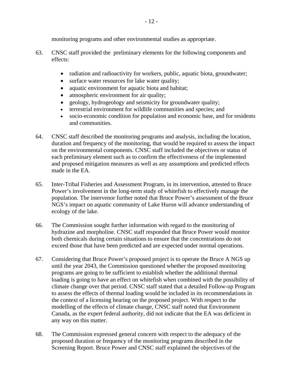monitoring programs and other environmental studies as appropriate.

- 63. CNSC staff provided the preliminary elements for the following components and effects:
	- radiation and radioactivity for workers, public, aquatic biota, groundwater;
	- surface water resources for lake water quality;
	- aquatic environment for aquatic biota and habitat;
	- atmospheric environment for air quality;
	- geology, hydrogeology and seismicity for groundwater quality;
	- terrestrial environment for wildlife communities and species; and
	- socio-economic condition for population and economic base, and for residents and communities.
- 64. CNSC staff described the monitoring programs and analysis, including the location, duration and frequency of the monitoring, that would be required to assess the impact on the environmental components. CNSC staff included the objectives or status of each preliminary element such as to confirm the effectiveness of the implemented and proposed mitigation measures as well as any assumptions and predicted effects made in the EA.
- 65. Inter-Tribal Fisheries and Assessment Program, in its intervention, attested to Bruce Power's involvement in the long-term study of whitefish to effectively manage the population. The intervenor further noted that Bruce Power's assessment of the Bruce NGS's impact on aquatic community of Lake Huron will advance understanding of ecology of the lake.
- 66. The Commission sought further information with regard to the monitoring of hydrazine and morpholine. CNSC staff responded that Bruce Power would monitor both chemicals during certain situations to ensure that the concentrations do not exceed those that have been predicted and are expected under normal operations.
- 67. Considering that Bruce Power's proposed project is to operate the Bruce A NGS up until the year 2043, the Commission questioned whether the proposed monitoring programs are going to be sufficient to establish whether the additional thermal loading is going to have an effect on whitefish when combined with the possibility of climate change over that period. CNSC staff stated that a detailed Follow-up Program to assess the effects of thermal loading would be included in its recommendations in the context of a licensing hearing on the proposed project. With respect to the modelling of the effects of climate change, CNSC staff noted that Environment Canada, as the expert federal authority, did not indicate that the EA was deficient in any way on this matter.
- 68. The Commission expressed general concern with respect to the adequacy of the proposed duration or frequency of the monitoring programs described in the Screening Report. Bruce Power and CNSC staff explained the objectives of the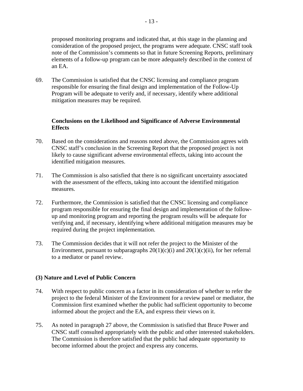proposed monitoring programs and indicated that, at this stage in the planning and consideration of the proposed project, the programs were adequate. CNSC staff took note of the Commission's comments so that in future Screening Reports, preliminary elements of a follow-up program can be more adequately described in the context of an EA.

69. The Commission is satisfied that the CNSC licensing and compliance program responsible for ensuring the final design and implementation of the Follow-Up Program will be adequate to verify and, if necessary, identify where additional mitigation measures may be required.

#### **Conclusions on the Likelihood and Significance of Adverse Environmental Effects**

- 70. Based on the considerations and reasons noted above, the Commission agrees with CNSC staff's conclusion in the Screening Report that the proposed project is not likely to cause significant adverse environmental effects, taking into account the identified mitigation measures.
- 71. The Commission is also satisfied that there is no significant uncertainty associated with the assessment of the effects, taking into account the identified mitigation measures.
- 72. Furthermore, the Commission is satisfied that the CNSC licensing and compliance program responsible for ensuring the final design and implementation of the followup and monitoring program and reporting the program results will be adequate for verifying and, if necessary, identifying where additional mitigation measures may be required during the project implementation.
- 73. The Commission decides that it will not refer the project to the Minister of the Environment, pursuant to subparagraphs  $20(1)(c)(i)$  and  $20(1)(c)(ii)$ , for her referral to a mediator or panel review.

#### **(3) Nature and Level of Public Concern**

- 74. With respect to public concern as a factor in its consideration of whether to refer the project to the federal Minister of the Environment for a review panel or mediator, the Commission first examined whether the public had sufficient opportunity to become informed about the project and the EA, and express their views on it.
- 75. As noted in paragraph 27 above, the Commission is satisfied that Bruce Power and CNSC staff consulted appropriately with the public and other interested stakeholders. The Commission is therefore satisfied that the public had adequate opportunity to become informed about the project and express any concerns.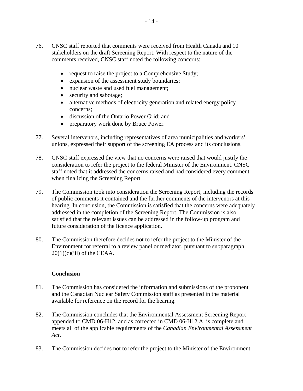- 76. CNSC staff reported that comments were received from Health Canada and 10 stakeholders on the draft Screening Report. With respect to the nature of the comments received, CNSC staff noted the following concerns:
	- request to raise the project to a Comprehensive Study;
	- expansion of the assessment study boundaries;
	- nuclear waste and used fuel management;
	- security and sabotage;
	- alternative methods of electricity generation and related energy policy concerns;
	- discussion of the Ontario Power Grid; and
	- preparatory work done by Bruce Power.
- 77. Several intervenors, including representatives of area municipalities and workers' unions, expressed their support of the screening EA process and its conclusions.
- 78. CNSC staff expressed the view that no concerns were raised that would justify the consideration to refer the project to the federal Minister of the Environment. CNSC staff noted that it addressed the concerns raised and had considered every comment when finalizing the Screening Report.
- 79. The Commission took into consideration the Screening Report, including the records of public comments it contained and the further comments of the intervenors at this hearing. In conclusion, the Commission is satisfied that the concerns were adequately addressed in the completion of the Screening Report. The Commission is also satisfied that the relevant issues can be addressed in the follow-up program and future consideration of the licence application.
- 80. The Commission therefore decides not to refer the project to the Minister of the Environment for referral to a review panel or mediator, pursuant to subparagraph  $20(1)(c)(iii)$  of the CEAA.

#### **Conclusion**

- 81. The Commission has considered the information and submissions of the proponent and the Canadian Nuclear Safety Commission staff as presented in the material available for reference on the record for the hearing.
- 82. The Commission concludes that the Environmental Assessment Screening Report appended to CMD 06-H12, and as corrected in CMD 06-H12.A, is complete and meets all of the applicable requirements of the *Canadian Environmental Assessment Act*.
- 83. The Commission decides not to refer the project to the Minister of the Environment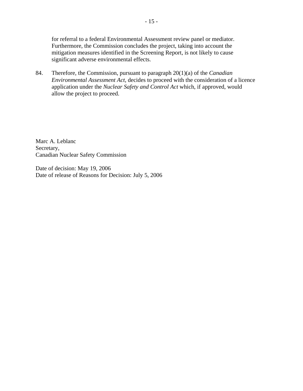for referral to a federal Environmental Assessment review panel or mediator. Furthermore, the Commission concludes the project, taking into account the mitigation measures identified in the Screening Report, is not likely to cause significant adverse environmental effects.

84. Therefore, the Commission, pursuant to paragraph 20(1)(a) of the *Canadian Environmental Assessment Act*, decides to proceed with the consideration of a licence application under the *Nuclear Safety and Control Act* which, if approved, would allow the project to proceed.

Marc A. Leblanc Secretary, Canadian Nuclear Safety Commission

Date of decision: May 19, 2006 Date of release of Reasons for Decision: July 5, 2006